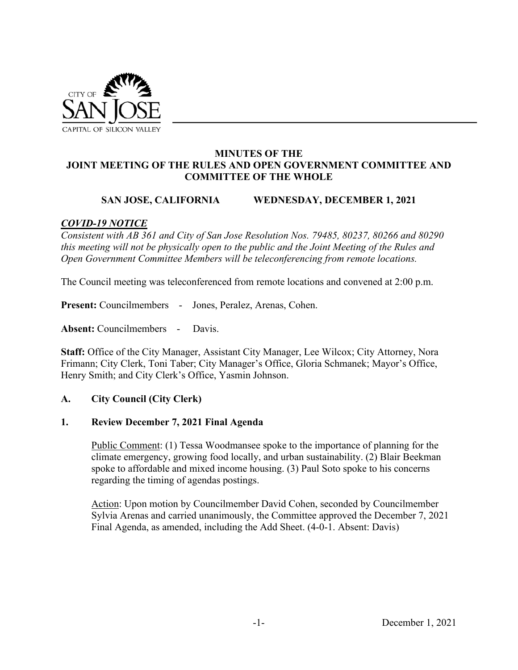

### **MINUTES OF THE JOINT MEETING OF THE RULES AND OPEN GOVERNMENT COMMITTEE AND COMMITTEE OF THE WHOLE**

### **SAN JOSE, CALIFORNIA WEDNESDAY, DECEMBER 1, 2021**

### *COVID-19 NOTICE*

*Consistent with AB 361 and City of San Jose Resolution Nos. 79485, 80237, 80266 and 80290 this meeting will not be physically open to the public and the Joint Meeting of the Rules and Open Government Committee Members will be teleconferencing from remote locations.* 

The Council meeting was teleconferenced from remote locations and convened at 2:00 p.m.

**Present:** Councilmembers - Jones, Peralez, Arenas, Cohen.

**Absent:** Councilmembers - Davis.

**Staff:** Office of the City Manager, Assistant City Manager, Lee Wilcox; City Attorney, Nora Frimann; City Clerk, Toni Taber; City Manager's Office, Gloria Schmanek; Mayor's Office, Henry Smith; and City Clerk's Office, Yasmin Johnson.

#### **A. City Council (City Clerk)**

#### **1. Review December 7, 2021 Final Agenda**

Public Comment: (1) Tessa Woodmansee spoke to the importance of planning for the climate emergency, growing food locally, and urban sustainability. (2) Blair Beekman spoke to affordable and mixed income housing. (3) Paul Soto spoke to his concerns regarding the timing of agendas postings.

Action: Upon motion by Councilmember David Cohen, seconded by Councilmember Sylvia Arenas and carried unanimously, the Committee approved the December 7, 2021 Final Agenda, as amended, including the Add Sheet. (4-0-1. Absent: Davis)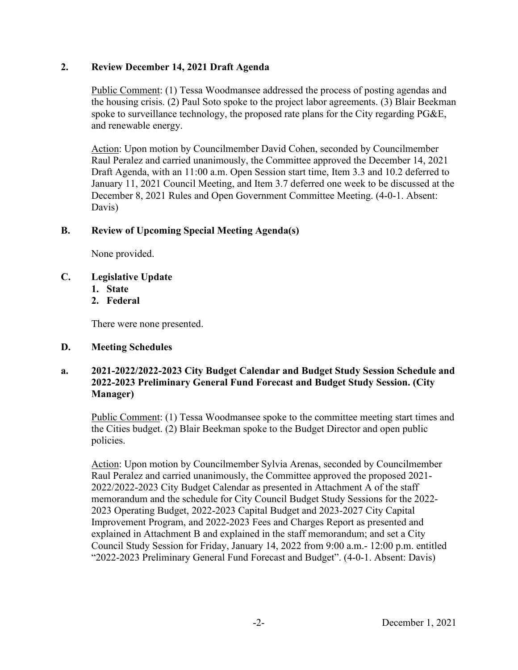# **2. Review December 14, 2021 Draft Agenda**

Public Comment: (1) Tessa Woodmansee addressed the process of posting agendas and the housing crisis. (2) Paul Soto spoke to the project labor agreements. (3) Blair Beekman spoke to surveillance technology, the proposed rate plans for the City regarding PG&E, and renewable energy.

Action: Upon motion by Councilmember David Cohen, seconded by Councilmember Raul Peralez and carried unanimously, the Committee approved the December 14, 2021 Draft Agenda, with an 11:00 a.m. Open Session start time, Item 3.3 and 10.2 deferred to January 11, 2021 Council Meeting, and Item 3.7 deferred one week to be discussed at the December 8, 2021 Rules and Open Government Committee Meeting. (4-0-1. Absent: Davis)

# **B. Review of Upcoming Special Meeting Agenda(s)**

None provided.

- **C. Legislative Update** 
	- **1. State**
	- **2. Federal**

There were none presented.

#### **D. Meeting Schedules**

### **a. 2021-2022/2022-2023 City Budget Calendar and Budget Study Session Schedule and 2022-2023 Preliminary General Fund Forecast and Budget Study Session. (City Manager)**

Public Comment: (1) Tessa Woodmansee spoke to the committee meeting start times and the Cities budget. (2) Blair Beekman spoke to the Budget Director and open public policies.

Action: Upon motion by Councilmember Sylvia Arenas, seconded by Councilmember Raul Peralez and carried unanimously, the Committee approved the proposed 2021- 2022/2022-2023 City Budget Calendar as presented in Attachment A of the staff memorandum and the schedule for City Council Budget Study Sessions for the 2022- 2023 Operating Budget, 2022-2023 Capital Budget and 2023-2027 City Capital Improvement Program, and 2022-2023 Fees and Charges Report as presented and explained in Attachment B and explained in the staff memorandum; and set a City Council Study Session for Friday, January 14, 2022 from 9:00 a.m.- 12:00 p.m. entitled "2022-2023 Preliminary General Fund Forecast and Budget". (4-0-1. Absent: Davis)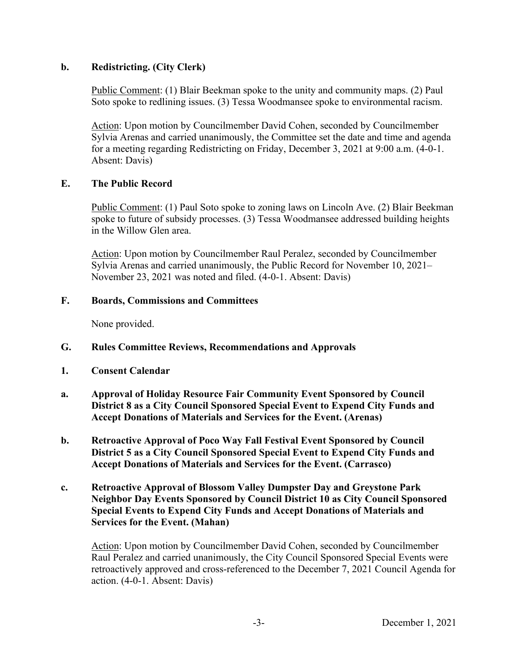### **b. Redistricting. (City Clerk)**

Public Comment: (1) Blair Beekman spoke to the unity and community maps. (2) Paul Soto spoke to redlining issues. (3) Tessa Woodmansee spoke to environmental racism.

Action: Upon motion by Councilmember David Cohen, seconded by Councilmember Sylvia Arenas and carried unanimously, the Committee set the date and time and agenda for a meeting regarding Redistricting on Friday, December 3, 2021 at 9:00 a.m. (4-0-1. Absent: Davis)

### **E. The Public Record**

Public Comment: (1) Paul Soto spoke to zoning laws on Lincoln Ave. (2) Blair Beekman spoke to future of subsidy processes. (3) Tessa Woodmansee addressed building heights in the Willow Glen area.

Action: Upon motion by Councilmember Raul Peralez, seconded by Councilmember Sylvia Arenas and carried unanimously, the Public Record for November 10, 2021– November 23, 2021 was noted and filed. (4-0-1. Absent: Davis)

### **F. Boards, Commissions and Committees**

None provided.

- **G. Rules Committee Reviews, Recommendations and Approvals**
- **1. Consent Calendar**
- **a. Approval of Holiday Resource Fair Community Event Sponsored by Council District 8 as a City Council Sponsored Special Event to Expend City Funds and Accept Donations of Materials and Services for the Event. (Arenas)**
- **b. Retroactive Approval of Poco Way Fall Festival Event Sponsored by Council District 5 as a City Council Sponsored Special Event to Expend City Funds and Accept Donations of Materials and Services for the Event. (Carrasco)**
- **c. Retroactive Approval of Blossom Valley Dumpster Day and Greystone Park Neighbor Day Events Sponsored by Council District 10 as City Council Sponsored Special Events to Expend City Funds and Accept Donations of Materials and Services for the Event. (Mahan)**

Action: Upon motion by Councilmember David Cohen, seconded by Councilmember Raul Peralez and carried unanimously, the City Council Sponsored Special Events were retroactively approved and cross-referenced to the December 7, 2021 Council Agenda for action. (4-0-1. Absent: Davis)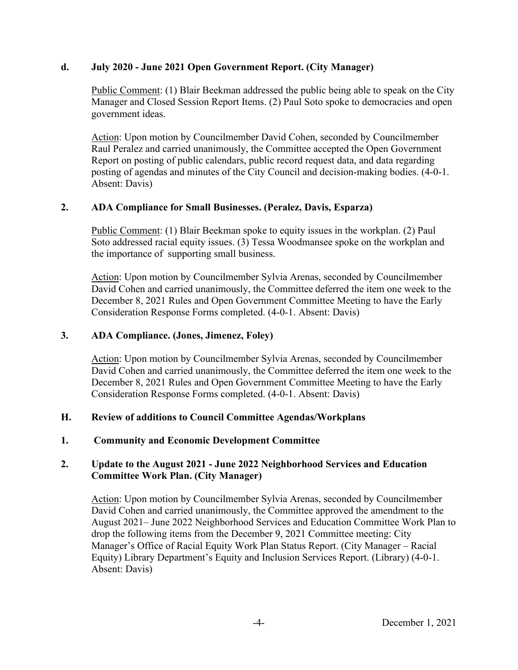# **d. July 2020 - June 2021 Open Government Report. (City Manager)**

Public Comment: (1) Blair Beekman addressed the public being able to speak on the City Manager and Closed Session Report Items. (2) Paul Soto spoke to democracies and open government ideas.

Action: Upon motion by Councilmember David Cohen, seconded by Councilmember Raul Peralez and carried unanimously, the Committee accepted the Open Government Report on posting of public calendars, public record request data, and data regarding posting of agendas and minutes of the City Council and decision-making bodies. (4-0-1. Absent: Davis)

### **2. ADA Compliance for Small Businesses. (Peralez, Davis, Esparza)**

Public Comment: (1) Blair Beekman spoke to equity issues in the workplan. (2) Paul Soto addressed racial equity issues. (3) Tessa Woodmansee spoke on the workplan and the importance of supporting small business.

Action: Upon motion by Councilmember Sylvia Arenas, seconded by Councilmember David Cohen and carried unanimously, the Committee deferred the item one week to the December 8, 2021 Rules and Open Government Committee Meeting to have the Early Consideration Response Forms completed. (4-0-1. Absent: Davis)

#### **3. ADA Compliance. (Jones, Jimenez, Foley)**

Action: Upon motion by Councilmember Sylvia Arenas, seconded by Councilmember David Cohen and carried unanimously, the Committee deferred the item one week to the December 8, 2021 Rules and Open Government Committee Meeting to have the Early Consideration Response Forms completed. (4-0-1. Absent: Davis)

# **H. Review of additions to Council Committee Agendas/Workplans**

#### **1. Community and Economic Development Committee**

# **2. Update to the August 2021 - June 2022 Neighborhood Services and Education Committee Work Plan. (City Manager)**

Action: Upon motion by Councilmember Sylvia Arenas, seconded by Councilmember David Cohen and carried unanimously, the Committee approved the amendment to the August 2021– June 2022 Neighborhood Services and Education Committee Work Plan to drop the following items from the December 9, 2021 Committee meeting: City Manager's Office of Racial Equity Work Plan Status Report. (City Manager – Racial Equity) Library Department's Equity and Inclusion Services Report. (Library) (4-0-1. Absent: Davis)